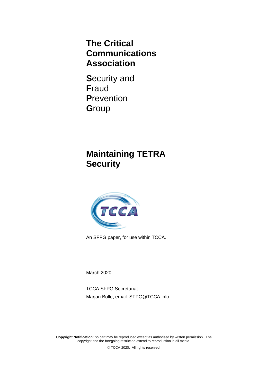# **The Critical Communications Association**

**S**ecurity and **F**raud **P**revention **G**roup

# **Maintaining TETRA Security**



An SFPG paper, for use within TCCA.

March 2020

TCCA SFPG Secretariat Marjan Bolle, email: [SFPG@TCCA.info](mailto:SFPG@TCCA.info)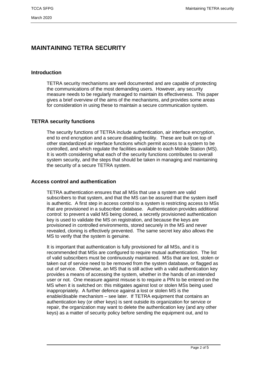# **MAINTAINING TETRA SECURITY**

### **Introduction**

TETRA security mechanisms are well documented and are capable of protecting the communications of the most demanding users. However, any security measure needs to be regularly managed to maintain its effectiveness. This paper gives a brief overview of the aims of the mechanisms, and provides some areas for consideration in using these to maintain a secure communication system.

# **TETRA security functions**

The security functions of TETRA include authentication, air interface encryption, end to end encryption and a secure disabling facility. These are built on top of other standardized air interface functions which permit access to a system to be controlled, and which regulate the facilities available to each Mobile Station (MS). It is worth considering what each of the security functions contributes to overall system security, and the steps that should be taken in managing and maintaining the security of a secure TETRA system.

#### **Access control and authentication**

TETRA authentication ensures that all MSs that use a system are valid subscribers to that system, and that the MS can be assured that the system itself is authentic. A first step in access control to a system is restricting access to MSs that are provisioned in a subscriber database. Authentication provides additional control: to prevent a valid MS being cloned, a secretly provisioned authentication key is used to validate the MS on registration, and because the keys are provisioned in controlled environments, stored securely in the MS and never revealed, cloning is effectively prevented. The same secret key also allows the MS to verify that the system is genuine.

It is important that authentication is fully provisioned for all MSs, and it is recommended that MSs are configured to require mutual authentication. The list of valid subscribers must be continuously maintained. MSs that are lost, stolen or taken out of service need to be removed from the system database, or flagged as out of service. Otherwise, an MS that is still active with a valid authentication key provides a means of accessing the system, whether in the hands of an intended user or not. One measure against misuse is to require a PIN to be entered on the MS when it is switched on: this mitigates against lost or stolen MSs being used inappropriately. A further defence against a lost or stolen MS is the enable/disable mechanism – see later. If TETRA equipment that contains an authentication key (or other keys) is sent outside its organization for service or repair, the organization may want to delete the authentication key (and any other keys) as a matter of security policy before sending the equipment out, and to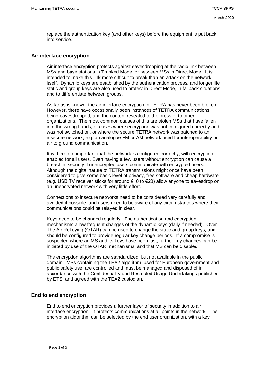replace the authentication key (and other keys) before the equipment is put back into service.

#### **Air interface encryption**

Air interface encryption protects against eavesdropping at the radio link between MSs and base stations in Trunked Mode, or between MSs in Direct Mode. It is intended to make this link more difficult to break than an attack on the network itself. Dynamic keys are established by the authentication process, and longer life static and group keys are also used to protect in Direct Mode, in fallback situations and to differentiate between groups.

As far as is known, the air interface encryption in TETRA has never been broken. However, there have occasionally been instances of TETRA communications being eavesdropped, and the content revealed to the press or to other organizations. The most common causes of this are stolen MSs that have fallen into the wrong hands, or cases where encryption was not configured correctly and was not switched on, or where the secure TETRA network was patched to an insecure network, e.g. an analogue FM or AM network used for interoperability or air to ground communication.

It is therefore important that the network is configured correctly, with encryption enabled for all users. Even having a few users without encryption can cause a breach in security if unencrypted users communicate with encrypted users. Although the digital nature of TETRA transmissions might once have been considered to give some basic level of privacy, free software and cheap hardware (e.g. USB TV receiver sticks for around €10 to €20) allow anyone to eavesdrop on an unencrypted network with very little effort.

Connections to insecure networks need to be considered very carefully and avoided if possible; and users need to be aware of any circumstances where their communications could be relayed in clear.

Keys need to be changed regularly. The authentication and encryption mechanisms allow frequent changes of the dynamic keys (daily if needed). Over The Air Rekeying (OTAR) can be used to change the static and group keys, and should be configured to provide regular key change periods. If a compromise is suspected where an MS and its keys have been lost, further key changes can be initiated by use of the OTAR mechanisms, and that MS can be disabled.

The encryption algorithms are standardized, but not available in the public domain. MSs containing the TEA2 algorithm, used for European government and public safety use, are controlled and must be managed and disposed of in accordance with the Confidentiality and Restricted Usage Undertakings published by ETSI and agreed with the TEA2 custodian.

# **End to end encryption**

End to end encryption provides a further layer of security in addition to air interface encryption. It protects communications at all points in the network. The encryption algorithm can be selected by the end user organization, with a key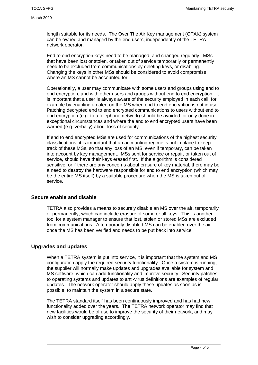length suitable for its needs. The Over The Air Key management (OTAK) system can be owned and managed by the end users, independently of the TETRA network operator.

End to end encryption keys need to be managed, and changed regularly. MSs that have been lost or stolen, or taken out of service temporarily or permanently need to be excluded from communications by deleting keys, or disabling. Changing the keys in other MSs should be considered to avoid compromise where an MS cannot be accounted for.

Operationally, a user may communicate with some users and groups using end to end encryption, and with other users and groups without end to end encryption. It is important that a user is always aware of the security employed in each call, for example by enabling an alert on the MS when end to end encryption is not in use. Patching decrypted end to end encrypted communications to users without end to end encryption (e.g. to a telephone network) should be avoided, or only done in exceptional circumstances and where the end to end encrypted users have been warned (e.g. verbally) about loss of security.

If end to end encrypted MSs are used for communications of the highest security classifications, it is important that an accounting regime is put in place to keep track of these MSs, so that any loss of an MS, even if temporary, can be taken into account by key management. MSs sent for service or repair, or taken out of service, should have their keys erased first. If the algorithm is considered sensitive, or if there are any concerns about erasure of key material, there may be a need to destroy the hardware responsible for end to end encryption (which may be the entire MS itself) by a suitable procedure when the MS is taken out of service.

#### **Secure enable and disable**

TETRA also provides a means to securely disable an MS over the air, temporarily or permanently, which can include erasure of some or all keys. This is another tool for a system manager to ensure that lost, stolen or stored MSs are excluded from communications. A temporarily disabled MS can be enabled over the air once the MS has been verified and needs to be put back into service.

#### **Upgrades and updates**

When a TETRA system is put into service, it is important that the system and MS configuration apply the required security functionality. Once a system is running, the supplier will normally make updates and upgrades available for system and MS software, which can add functionality and improve security. Security patches to operating systems and updates to anti-virus definitions are examples of regular updates. The network operator should apply these updates as soon as is possible, to maintain the system in a secure state.

The TETRA standard itself has been continuously improved and has had new functionality added over the years. The TETRA network operator may find that new facilities would be of use to improve the security of their network, and may wish to consider upgrading accordingly.